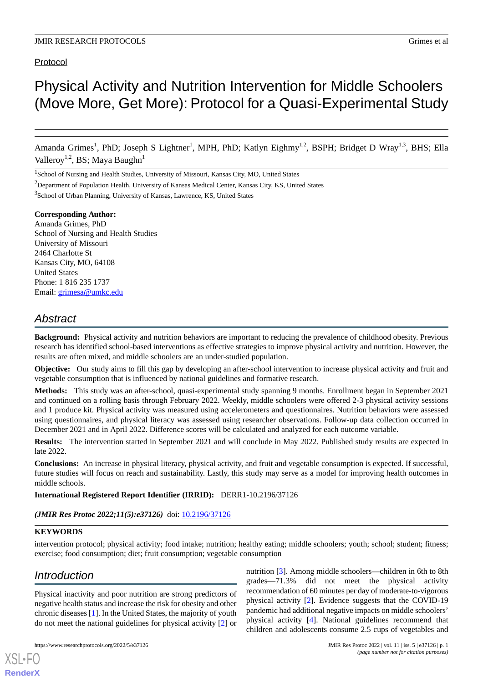# Protocol

# Physical Activity and Nutrition Intervention for Middle Schoolers (Move More, Get More): Protocol for a Quasi-Experimental Study

Amanda Grimes<sup>1</sup>, PhD; Joseph S Lightner<sup>1</sup>, MPH, PhD; Katlyn Eighmy<sup>1,2</sup>, BSPH; Bridget D Wray<sup>1,3</sup>, BHS; Ella Valleroy<sup>1,2</sup>, BS; Maya Baughn<sup>1</sup>

<sup>1</sup>School of Nursing and Health Studies, University of Missouri, Kansas City, MO, United States

<sup>2</sup>Department of Population Health, University of Kansas Medical Center, Kansas City, KS, United States

<sup>3</sup>School of Urban Planning, University of Kansas, Lawrence, KS, United States

#### **Corresponding Author:**

Amanda Grimes, PhD School of Nursing and Health Studies University of Missouri 2464 Charlotte St Kansas City, MO, 64108 United States Phone: 1 816 235 1737 Email: [grimesa@umkc.edu](mailto:grimesa@umkc.edu)

# *Abstract*

**Background:** Physical activity and nutrition behaviors are important to reducing the prevalence of childhood obesity. Previous research has identified school-based interventions as effective strategies to improve physical activity and nutrition. However, the results are often mixed, and middle schoolers are an under-studied population.

**Objective:** Our study aims to fill this gap by developing an after-school intervention to increase physical activity and fruit and vegetable consumption that is influenced by national guidelines and formative research.

**Methods:** This study was an after-school, quasi-experimental study spanning 9 months. Enrollment began in September 2021 and continued on a rolling basis through February 2022. Weekly, middle schoolers were offered 2-3 physical activity sessions and 1 produce kit. Physical activity was measured using accelerometers and questionnaires. Nutrition behaviors were assessed using questionnaires, and physical literacy was assessed using researcher observations. Follow-up data collection occurred in December 2021 and in April 2022. Difference scores will be calculated and analyzed for each outcome variable.

**Results:** The intervention started in September 2021 and will conclude in May 2022. Published study results are expected in late 2022.

**Conclusions:** An increase in physical literacy, physical activity, and fruit and vegetable consumption is expected. If successful, future studies will focus on reach and sustainability. Lastly, this study may serve as a model for improving health outcomes in middle schools.

**International Registered Report Identifier (IRRID):** DERR1-10.2196/37126

(JMIR Res Protoc 2022;11(5):e37126) doi: [10.2196/37126](http://dx.doi.org/10.2196/37126)

### **KEYWORDS**

intervention protocol; physical activity; food intake; nutrition; healthy eating; middle schoolers; youth; school; student; fitness; exercise; food consumption; diet; fruit consumption; vegetable consumption

# *Introduction*

[XSL](http://www.w3.org/Style/XSL)•FO **[RenderX](http://www.renderx.com/)**

Physical inactivity and poor nutrition are strong predictors of negative health status and increase the risk for obesity and other chronic diseases [[1\]](#page-5-0). In the United States, the majority of youth do not meet the national guidelines for physical activity [\[2](#page-5-1)] or

https://www.researchprotocols.org/2022/5/e37126 degree and the state of the state of the state of the state of the state of the state of the state of the state of the state of the state of the state of the state of the sta

nutrition [\[3](#page-5-2)]. Among middle schoolers—children in 6th to 8th grades—71.3% did not meet the physical activity recommendation of 60 minutes per day of moderate-to-vigorous physical activity [\[2](#page-5-1)]. Evidence suggests that the COVID-19 pandemic had additional negative impacts on middle schoolers' physical activity [\[4](#page-5-3)]. National guidelines recommend that children and adolescents consume 2.5 cups of vegetables and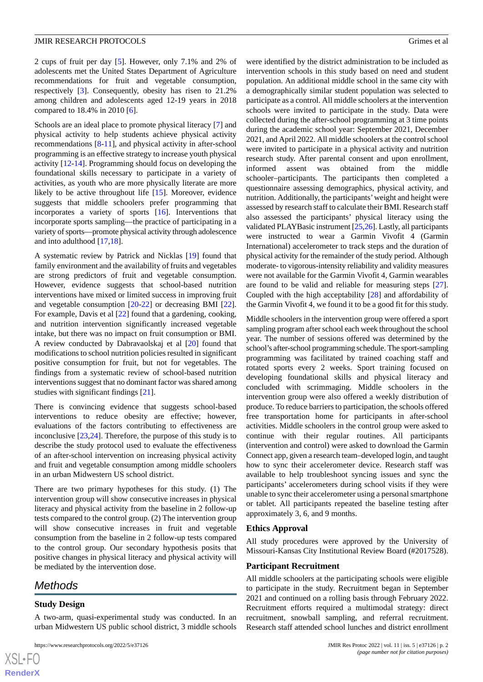2 cups of fruit per day [[5\]](#page-5-4). However, only 7.1% and 2% of adolescents met the United States Department of Agriculture recommendations for fruit and vegetable consumption, respectively [[3\]](#page-5-2). Consequently, obesity has risen to 21.2% among children and adolescents aged 12-19 years in 2018 compared to 18.4% in 2010 [\[6](#page-5-5)].

Schools are an ideal place to promote physical literacy [\[7](#page-5-6)] and physical activity to help students achieve physical activity recommendations [[8](#page-5-7)[-11](#page-5-8)], and physical activity in after-school programming is an effective strategy to increase youth physical activity [\[12](#page-5-9)[-14](#page-5-10)]. Programming should focus on developing the foundational skills necessary to participate in a variety of activities, as youth who are more physically literate are more likely to be active throughout life [\[15](#page-5-11)]. Moreover, evidence suggests that middle schoolers prefer programming that incorporates a variety of sports [\[16](#page-5-12)]. Interventions that incorporate sports sampling—the practice of participating in a variety of sports—promote physical activity through adolescence and into adulthood [\[17](#page-5-13),[18\]](#page-5-14).

A systematic review by Patrick and Nicklas [\[19](#page-5-15)] found that family environment and the availability of fruits and vegetables are strong predictors of fruit and vegetable consumption. However, evidence suggests that school-based nutrition interventions have mixed or limited success in improving fruit and vegetable consumption [\[20](#page-6-0)[-22](#page-6-1)] or decreasing BMI [[22\]](#page-6-1). For example, Davis et al [[22\]](#page-6-1) found that a gardening, cooking, and nutrition intervention significantly increased vegetable intake, but there was no impact on fruit consumption or BMI. A review conducted by Dabravaolskaj et al [[20\]](#page-6-0) found that modifications to school nutrition policies resulted in significant positive consumption for fruit, but not for vegetables. The findings from a systematic review of school-based nutrition interventions suggest that no dominant factor was shared among studies with significant findings [\[21](#page-6-2)].

There is convincing evidence that suggests school-based interventions to reduce obesity are effective; however, evaluations of the factors contributing to effectiveness are inconclusive [\[23](#page-6-3)[,24](#page-6-4)]. Therefore, the purpose of this study is to describe the study protocol used to evaluate the effectiveness of an after-school intervention on increasing physical activity and fruit and vegetable consumption among middle schoolers in an urban Midwestern US school district.

There are two primary hypotheses for this study. (1) The intervention group will show consecutive increases in physical literacy and physical activity from the baseline in 2 follow-up tests compared to the control group. (2) The intervention group will show consecutive increases in fruit and vegetable consumption from the baseline in 2 follow-up tests compared to the control group. Our secondary hypothesis posits that positive changes in physical literacy and physical activity will be mediated by the intervention dose.

# *Methods*

#### **Study Design**

 $XSI - F($ **[RenderX](http://www.renderx.com/)**

A two-arm, quasi-experimental study was conducted. In an urban Midwestern US public school district, 3 middle schools were identified by the district administration to be included as intervention schools in this study based on need and student population. An additional middle school in the same city with a demographically similar student population was selected to participate as a control. All middle schoolers at the intervention schools were invited to participate in the study. Data were collected during the after-school programming at 3 time points during the academic school year: September 2021, December 2021, and April 2022. All middle schoolers at the control school were invited to participate in a physical activity and nutrition research study. After parental consent and upon enrollment, informed assent was obtained from the middle schooler–participants. The participants then completed a questionnaire assessing demographics, physical activity, and nutrition. Additionally, the participants'weight and height were assessed by research staff to calculate their BMI. Research staff also assessed the participants' physical literacy using the validated PLAYBasic instrument [\[25](#page-6-5)[,26](#page-6-6)]. Lastly, all participants were instructed to wear a Garmin Vivofit 4 (Garmin International) accelerometer to track steps and the duration of physical activity for the remainder of the study period. Although moderate- to vigorous-intensity reliability and validity measures were not available for the Garmin Vivofit 4, Garmin wearables are found to be valid and reliable for measuring steps [[27\]](#page-6-7). Coupled with the high acceptability [[28\]](#page-6-8) and affordability of the Garmin Vivofit 4, we found it to be a good fit for this study.

Middle schoolers in the intervention group were offered a sport sampling program after school each week throughout the school year. The number of sessions offered was determined by the school's after-school programming schedule. The sport-sampling programming was facilitated by trained coaching staff and rotated sports every 2 weeks. Sport training focused on developing foundational skills and physical literacy and concluded with scrimmaging. Middle schoolers in the intervention group were also offered a weekly distribution of produce. To reduce barriers to participation, the schools offered free transportation home for participants in after-school activities. Middle schoolers in the control group were asked to continue with their regular routines. All participants (intervention and control) were asked to download the Garmin Connect app, given a research team–developed login, and taught how to sync their accelerometer device. Research staff was available to help troubleshoot syncing issues and sync the participants' accelerometers during school visits if they were unable to sync their accelerometer using a personal smartphone or tablet. All participants repeated the baseline testing after approximately 3, 6, and 9 months.

#### **Ethics Approval**

All study procedures were approved by the University of Missouri-Kansas City Institutional Review Board (#2017528).

#### **Participant Recruitment**

All middle schoolers at the participating schools were eligible to participate in the study. Recruitment began in September 2021 and continued on a rolling basis through February 2022. Recruitment efforts required a multimodal strategy: direct recruitment, snowball sampling, and referral recruitment. Research staff attended school lunches and district enrollment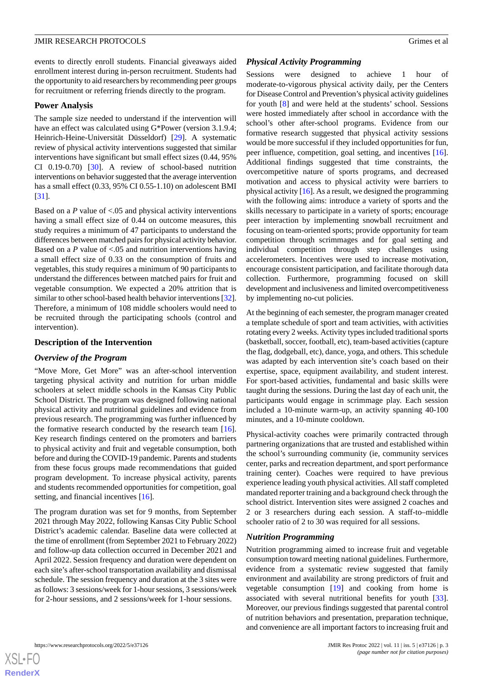events to directly enroll students. Financial giveaways aided enrollment interest during in-person recruitment. Students had the opportunity to aid researchers by recommending peer groups for recruitment or referring friends directly to the program.

#### **Power Analysis**

The sample size needed to understand if the intervention will have an effect was calculated using G\*Power (version 3.1.9.4; Heinrich-Heine-Universität Düsseldorf) [\[29](#page-6-9)]. A systematic review of physical activity interventions suggested that similar interventions have significant but small effect sizes (0.44, 95% CI 0.19-0.70) [[30\]](#page-6-10). A review of school-based nutrition interventions on behavior suggested that the average intervention has a small effect (0.33, 95% CI 0.55-1.10) on adolescent BMI [[31\]](#page-6-11).

Based on a  $P$  value of  $\leq 0.05$  and physical activity interventions having a small effect size of 0.44 on outcome measures, this study requires a minimum of 47 participants to understand the differences between matched pairs for physical activity behavior. Based on a *P* value of <.05 and nutrition interventions having a small effect size of 0.33 on the consumption of fruits and vegetables, this study requires a minimum of 90 participants to understand the differences between matched pairs for fruit and vegetable consumption. We expected a 20% attrition that is similar to other school-based health behavior interventions [\[32\]](#page-6-12). Therefore, a minimum of 108 middle schoolers would need to be recruited through the participating schools (control and intervention).

#### **Description of the Intervention**

#### *Overview of the Program*

"Move More, Get More" was an after-school intervention targeting physical activity and nutrition for urban middle schoolers at select middle schools in the Kansas City Public School District. The program was designed following national physical activity and nutritional guidelines and evidence from previous research. The programming was further influenced by the formative research conducted by the research team [[16\]](#page-5-12). Key research findings centered on the promoters and barriers to physical activity and fruit and vegetable consumption, both before and during the COVID-19 pandemic. Parents and students from these focus groups made recommendations that guided program development. To increase physical activity, parents and students recommended opportunities for competition, goal setting, and financial incentives [\[16](#page-5-12)].

The program duration was set for 9 months, from September 2021 through May 2022, following Kansas City Public School District's academic calendar. Baseline data were collected at the time of enrollment (from September 2021 to February 2022) and follow-up data collection occurred in December 2021 and April 2022. Session frequency and duration were dependent on each site's after-school transportation availability and dismissal schedule. The session frequency and duration at the 3 sites were as follows: 3 sessions/week for 1-hour sessions, 3 sessions/week for 2-hour sessions, and 2 sessions/week for 1-hour sessions.

#### *Physical Activity Programming*

Sessions were designed to achieve 1 hour of moderate-to-vigorous physical activity daily, per the Centers for Disease Control and Prevention's physical activity guidelines for youth [\[8](#page-5-7)] and were held at the students' school. Sessions were hosted immediately after school in accordance with the school's other after-school programs. Evidence from our formative research suggested that physical activity sessions would be more successful if they included opportunities for fun, peer influence, competition, goal setting, and incentives [[16\]](#page-5-12). Additional findings suggested that time constraints, the overcompetitive nature of sports programs, and decreased motivation and access to physical activity were barriers to physical activity [\[16](#page-5-12)]. As a result, we designed the programming with the following aims: introduce a variety of sports and the skills necessary to participate in a variety of sports; encourage peer interaction by implementing snowball recruitment and focusing on team-oriented sports; provide opportunity for team competition through scrimmages and for goal setting and individual competition through step challenges using accelerometers. Incentives were used to increase motivation, encourage consistent participation, and facilitate thorough data collection. Furthermore, programming focused on skill development and inclusiveness and limited overcompetitiveness by implementing no-cut policies.

At the beginning of each semester, the program manager created a template schedule of sport and team activities, with activities rotating every 2 weeks. Activity types included traditional sports (basketball, soccer, football, etc), team-based activities (capture the flag, dodgeball, etc), dance, yoga, and others. This schedule was adapted by each intervention site's coach based on their expertise, space, equipment availability, and student interest. For sport-based activities, fundamental and basic skills were taught during the sessions. During the last day of each unit, the participants would engage in scrimmage play. Each session included a 10-minute warm-up, an activity spanning 40-100 minutes, and a 10-minute cooldown.

Physical-activity coaches were primarily contracted through partnering organizations that are trusted and established within the school's surrounding community (ie, community services center, parks and recreation department, and sport performance training center). Coaches were required to have previous experience leading youth physical activities. All staff completed mandated reporter training and a background check through the school district. Intervention sites were assigned 2 coaches and 2 or 3 researchers during each session. A staff-to–middle schooler ratio of 2 to 30 was required for all sessions.

#### *Nutrition Programming*

Nutrition programming aimed to increase fruit and vegetable consumption toward meeting national guidelines. Furthermore, evidence from a systematic review suggested that family environment and availability are strong predictors of fruit and vegetable consumption [\[19](#page-5-15)] and cooking from home is associated with several nutritional benefits for youth [[33\]](#page-6-13). Moreover, our previous findings suggested that parental control of nutrition behaviors and presentation, preparation technique, and convenience are all important factors to increasing fruit and

 $XS$  $\cdot$ FC **[RenderX](http://www.renderx.com/)**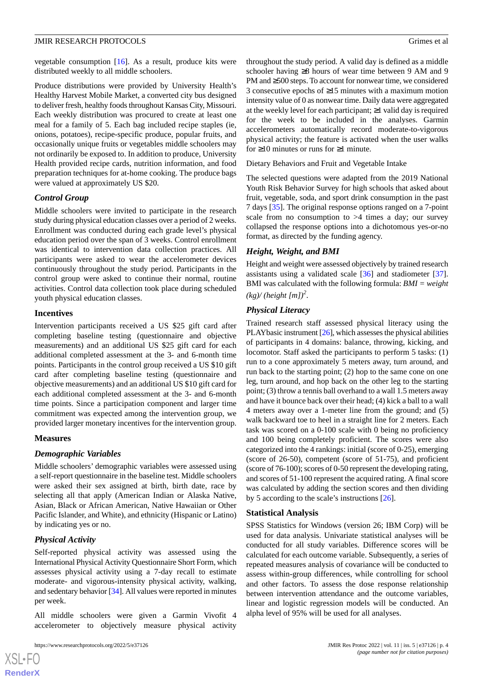vegetable consumption [\[16](#page-5-12)]. As a result, produce kits were distributed weekly to all middle schoolers.

Produce distributions were provided by University Health's Healthy Harvest Mobile Market, a converted city bus designed to deliver fresh, healthy foods throughout Kansas City, Missouri. Each weekly distribution was procured to create at least one meal for a family of 5. Each bag included recipe staples (ie, onions, potatoes), recipe-specific produce, popular fruits, and occasionally unique fruits or vegetables middle schoolers may not ordinarily be exposed to. In addition to produce, University Health provided recipe cards, nutrition information, and food preparation techniques for at-home cooking. The produce bags were valued at approximately US \$20.

#### *Control Group*

Middle schoolers were invited to participate in the research study during physical education classes over a period of 2 weeks. Enrollment was conducted during each grade level's physical education period over the span of 3 weeks. Control enrollment was identical to intervention data collection practices. All participants were asked to wear the accelerometer devices continuously throughout the study period. Participants in the control group were asked to continue their normal, routine activities. Control data collection took place during scheduled youth physical education classes.

#### **Incentives**

Intervention participants received a US \$25 gift card after completing baseline testing (questionnaire and objective measurements) and an additional US \$25 gift card for each additional completed assessment at the 3- and 6-month time points. Participants in the control group received a US \$10 gift card after completing baseline testing (questionnaire and objective measurements) and an additional US \$10 gift card for each additional completed assessment at the 3- and 6-month time points. Since a participation component and larger time commitment was expected among the intervention group, we provided larger monetary incentives for the intervention group.

#### **Measures**

### *Demographic Variables*

Middle schoolers' demographic variables were assessed using a self-report questionnaire in the baseline test. Middle schoolers were asked their sex assigned at birth, birth date, race by selecting all that apply (American Indian or Alaska Native, Asian, Black or African American, Native Hawaiian or Other Pacific Islander, and White), and ethnicity (Hispanic or Latino) by indicating yes or no.

### *Physical Activity*

 $X$ SL•FO **[RenderX](http://www.renderx.com/)**

Self-reported physical activity was assessed using the International Physical Activity Questionnaire Short Form, which assesses physical activity using a 7-day recall to estimate moderate- and vigorous-intensity physical activity, walking, and sedentary behavior [\[34\]](#page-6-14). All values were reported in minutes per week.

All middle schoolers were given a Garmin Vivofit 4 accelerometer to objectively measure physical activity

throughout the study period. A valid day is defined as a middle schooler having ≥8 hours of wear time between 9 AM and 9 PM and ≥500 steps. To account for nonwear time, we considered 3 consecutive epochs of ≥15 minutes with a maximum motion intensity value of 0 as nonwear time. Daily data were aggregated at the weekly level for each participant; ≥1 valid day is required for the week to be included in the analyses. Garmin accelerometers automatically record moderate-to-vigorous physical activity; the feature is activated when the user walks for ≥10 minutes or runs for ≥1 minute.

Dietary Behaviors and Fruit and Vegetable Intake

The selected questions were adapted from the 2019 National Youth Risk Behavior Survey for high schools that asked about fruit, vegetable, soda, and sport drink consumption in the past 7 days [\[35](#page-6-15)]. The original response options ranged on a 7-point scale from no consumption to >4 times a day; our survey collapsed the response options into a dichotomous yes-or-no format, as directed by the funding agency.

### *Height, Weight, and BMI*

Height and weight were assessed objectively by trained research assistants using a validated scale [\[36](#page-6-16)] and stadiometer [[37\]](#page-6-17). BMI was calculated with the following formula: *BMI = weight*  $(kg)/(height [m])<sup>2</sup>$ .

# *Physical Literacy*

Trained research staff assessed physical literacy using the PLAYbasic instrument [\[26\]](#page-6-6), which assesses the physical abilities of participants in 4 domains: balance, throwing, kicking, and locomotor. Staff asked the participants to perform 5 tasks: (1) run to a cone approximately 5 meters away, turn around, and run back to the starting point; (2) hop to the same cone on one leg, turn around, and hop back on the other leg to the starting point; (3) throw a tennis ball overhand to a wall 1.5 meters away and have it bounce back over their head; (4) kick a ball to a wall 4 meters away over a 1-meter line from the ground; and (5) walk backward toe to heel in a straight line for 2 meters. Each task was scored on a 0-100 scale with 0 being no proficiency and 100 being completely proficient. The scores were also categorized into the 4 rankings: initial (score of 0-25), emerging (score of 26-50), competent (score of 51-75), and proficient (score of 76-100); scores of 0-50 represent the developing rating, and scores of 51-100 represent the acquired rating. A final score was calculated by adding the section scores and then dividing by 5 according to the scale's instructions [\[26](#page-6-6)].

#### **Statistical Analysis**

SPSS Statistics for Windows (version 26; IBM Corp) will be used for data analysis. Univariate statistical analyses will be conducted for all study variables. Difference scores will be calculated for each outcome variable. Subsequently, a series of repeated measures analysis of covariance will be conducted to assess within-group differences, while controlling for school and other factors. To assess the dose response relationship between intervention attendance and the outcome variables, linear and logistic regression models will be conducted. An alpha level of 95% will be used for all analyses.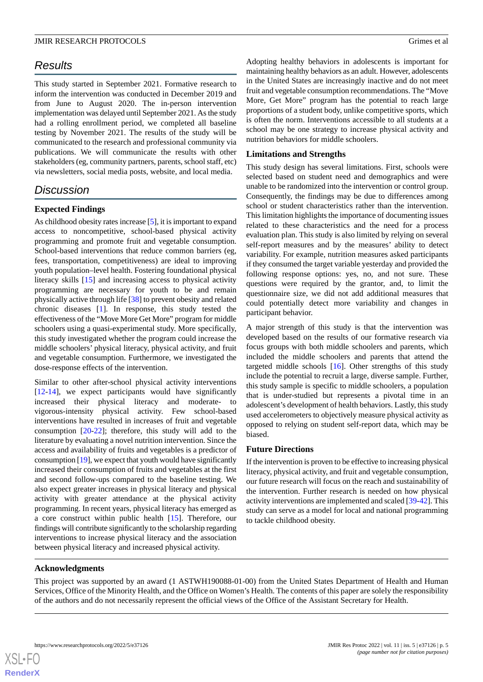# *Results*

This study started in September 2021. Formative research to inform the intervention was conducted in December 2019 and from June to August 2020. The in-person intervention implementation was delayed until September 2021. As the study had a rolling enrollment period, we completed all baseline testing by November 2021. The results of the study will be communicated to the research and professional community via publications. We will communicate the results with other stakeholders (eg, community partners, parents, school staff, etc) via newsletters, social media posts, website, and local media.

# *Discussion*

#### **Expected Findings**

As childhood obesity rates increase [\[5\]](#page-5-4), it is important to expand access to noncompetitive, school-based physical activity programming and promote fruit and vegetable consumption. School-based interventions that reduce common barriers (eg, fees, transportation, competitiveness) are ideal to improving youth population–level health. Fostering foundational physical literacy skills [\[15](#page-5-11)] and increasing access to physical activity programming are necessary for youth to be and remain physically active through life [[38\]](#page-6-18) to prevent obesity and related chronic diseases [\[1](#page-5-0)]. In response, this study tested the effectiveness of the "Move More Get More" program for middle schoolers using a quasi-experimental study. More specifically, this study investigated whether the program could increase the middle schoolers' physical literacy, physical activity, and fruit and vegetable consumption. Furthermore, we investigated the dose-response effects of the intervention.

Similar to other after-school physical activity interventions [[12](#page-5-9)[-14](#page-5-10)], we expect participants would have significantly increased their physical literacy and moderate- to vigorous-intensity physical activity. Few school-based interventions have resulted in increases of fruit and vegetable consumption [\[20](#page-6-0)-[22\]](#page-6-1); therefore, this study will add to the literature by evaluating a novel nutrition intervention. Since the access and availability of fruits and vegetables is a predictor of consumption [\[19](#page-5-15)], we expect that youth would have significantly increased their consumption of fruits and vegetables at the first and second follow-ups compared to the baseline testing. We also expect greater increases in physical literacy and physical activity with greater attendance at the physical activity programming. In recent years, physical literacy has emerged as a core construct within public health [\[15](#page-5-11)]. Therefore, our findings will contribute significantly to the scholarship regarding interventions to increase physical literacy and the association between physical literacy and increased physical activity.

Adopting healthy behaviors in adolescents is important for maintaining healthy behaviors as an adult. However, adolescents in the United States are increasingly inactive and do not meet fruit and vegetable consumption recommendations. The "Move More, Get More" program has the potential to reach large proportions of a student body, unlike competitive sports, which is often the norm. Interventions accessible to all students at a school may be one strategy to increase physical activity and nutrition behaviors for middle schoolers.

#### **Limitations and Strengths**

This study design has several limitations. First, schools were selected based on student need and demographics and were unable to be randomized into the intervention or control group. Consequently, the findings may be due to differences among school or student characteristics rather than the intervention. This limitation highlights the importance of documenting issues related to these characteristics and the need for a process evaluation plan. This study is also limited by relying on several self-report measures and by the measures' ability to detect variability. For example, nutrition measures asked participants if they consumed the target variable yesterday and provided the following response options: yes, no, and not sure. These questions were required by the grantor, and, to limit the questionnaire size, we did not add additional measures that could potentially detect more variability and changes in participant behavior.

A major strength of this study is that the intervention was developed based on the results of our formative research via focus groups with both middle schoolers and parents, which included the middle schoolers and parents that attend the targeted middle schools [[16\]](#page-5-12). Other strengths of this study include the potential to recruit a large, diverse sample. Further, this study sample is specific to middle schoolers, a population that is under-studied but represents a pivotal time in an adolescent's development of health behaviors. Lastly, this study used accelerometers to objectively measure physical activity as opposed to relying on student self-report data, which may be biased.

#### **Future Directions**

If the intervention is proven to be effective to increasing physical literacy, physical activity, and fruit and vegetable consumption, our future research will focus on the reach and sustainability of the intervention. Further research is needed on how physical activity interventions are implemented and scaled [[39](#page-6-19)[-42](#page-6-20)]. This study can serve as a model for local and national programming to tackle childhood obesity.

#### **Acknowledgments**

This project was supported by an award (1 ASTWH190088-01-00) from the United States Department of Health and Human Services, Office of the Minority Health, and the Office on Women's Health. The contents of this paper are solely the responsibility of the authors and do not necessarily represent the official views of the Office of the Assistant Secretary for Health.

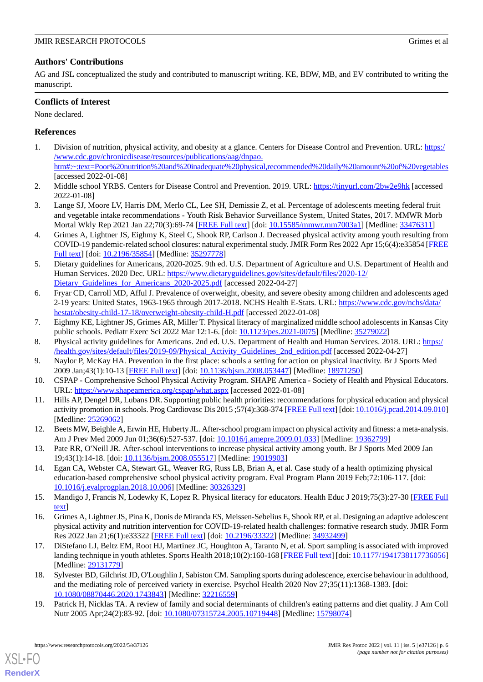# **Authors' Contributions**

AG and JSL conceptualized the study and contributed to manuscript writing. KE, BDW, MB, and EV contributed to writing the manuscript.

### **Conflicts of Interest**

None declared.

# <span id="page-5-0"></span>**References**

- 1. Division of nutrition, physical activity, and obesity at a glance. Centers for Disease Control and Prevention. URL: [https:/](https://www.cdc.gov/chronicdisease/resources/publications/aag/dnpao.htm#:~:text=Poor%20nutrition%20and%20inadequate%20physical,recommended%20daily%20amount%20of%20vegetables) [/www.cdc.gov/chronicdisease/resources/publications/aag/dnpao.](https://www.cdc.gov/chronicdisease/resources/publications/aag/dnpao.htm#:~:text=Poor%20nutrition%20and%20inadequate%20physical,recommended%20daily%20amount%20of%20vegetables) [htm#:~:text=Poor%20nutrition%20and%20inadequate%20physical,recommended%20daily%20amount%20of%20vegetables](https://www.cdc.gov/chronicdisease/resources/publications/aag/dnpao.htm#:~:text=Poor%20nutrition%20and%20inadequate%20physical,recommended%20daily%20amount%20of%20vegetables) [accessed 2022-01-08]
- <span id="page-5-2"></span><span id="page-5-1"></span>2. Middle school YRBS. Centers for Disease Control and Prevention. 2019. URL: <https://tinyurl.com/2bw2e9hk> [accessed] 2022-01-08]
- <span id="page-5-3"></span>3. Lange SJ, Moore LV, Harris DM, Merlo CL, Lee SH, Demissie Z, et al. Percentage of adolescents meeting federal fruit and vegetable intake recommendations - Youth Risk Behavior Surveillance System, United States, 2017. MMWR Morb Mortal Wkly Rep 2021 Jan 22;70(3):69-74 [\[FREE Full text\]](https://doi.org/10.15585/mmwr.mm7003a1) [doi: [10.15585/mmwr.mm7003a1](http://dx.doi.org/10.15585/mmwr.mm7003a1)] [Medline: [33476311](http://www.ncbi.nlm.nih.gov/entrez/query.fcgi?cmd=Retrieve&db=PubMed&list_uids=33476311&dopt=Abstract)]
- <span id="page-5-4"></span>4. Grimes A, Lightner JS, Eighmy K, Steel C, Shook RP, Carlson J. Decreased physical activity among youth resulting from COVID-19 pandemic-related school closures: natural experimental study. JMIR Form Res 2022 Apr 15;6(4):e35854 [\[FREE](https://formative.jmir.org/2022/4/e35854/) [Full text\]](https://formative.jmir.org/2022/4/e35854/) [doi: [10.2196/35854\]](http://dx.doi.org/10.2196/35854) [Medline: [35297778](http://www.ncbi.nlm.nih.gov/entrez/query.fcgi?cmd=Retrieve&db=PubMed&list_uids=35297778&dopt=Abstract)]
- <span id="page-5-5"></span>5. Dietary guidelines for Americans, 2020-2025. 9th ed. U.S. Department of Agriculture and U.S. Department of Health and Human Services. 2020 Dec. URL: [https://www.dietaryguidelines.gov/sites/default/files/2020-12/](https://www.dietaryguidelines.gov/sites/default/files/2020-12/Dietary_Guidelines_for_Americans_2020-2025.pdf) Dietary Guidelines for Americans 2020-2025.pdf [accessed 2022-04-27]
- <span id="page-5-6"></span>6. Fryar CD, Carroll MD, Afful J. Prevalence of overweight, obesity, and severe obesity among children and adolescents aged 2-19 years: United States, 1963-1965 through 2017-2018. NCHS Health E-Stats. URL: [https://www.cdc.gov/nchs/data/](https://www.cdc.gov/nchs/data/hestat/obesity-child-17-18/overweight-obesity-child-H.pdf) [hestat/obesity-child-17-18/overweight-obesity-child-H.pdf](https://www.cdc.gov/nchs/data/hestat/obesity-child-17-18/overweight-obesity-child-H.pdf) [accessed 2022-01-08]
- <span id="page-5-7"></span>7. Eighmy KE, Lightner JS, Grimes AR, Miller T. Physical literacy of marginalized middle school adolescents in Kansas City public schools. Pediatr Exerc Sci 2022 Mar 12:1-6. [doi: [10.1123/pes.2021-0075](http://dx.doi.org/10.1123/pes.2021-0075)] [Medline: [35279022](http://www.ncbi.nlm.nih.gov/entrez/query.fcgi?cmd=Retrieve&db=PubMed&list_uids=35279022&dopt=Abstract)]
- 8. Physical activity guidelines for Americans. 2nd ed. U.S. Department of Health and Human Services. 2018. URL: [https:/](https://health.gov/sites/default/files/2019-09/Physical_Activity_Guidelines_2nd_edition.pdf) [/health.gov/sites/default/files/2019-09/Physical\\_Activity\\_Guidelines\\_2nd\\_edition.pdf](https://health.gov/sites/default/files/2019-09/Physical_Activity_Guidelines_2nd_edition.pdf) [accessed 2022-04-27]
- <span id="page-5-8"></span>9. Naylor P, McKay HA. Prevention in the first place: schools a setting for action on physical inactivity. Br J Sports Med 2009 Jan;43(1):10-13 [[FREE Full text](https://bjsm.bmj.com/content/43/1/10.long)] [doi: [10.1136/bjsm.2008.053447](http://dx.doi.org/10.1136/bjsm.2008.053447)] [Medline: [18971250\]](http://www.ncbi.nlm.nih.gov/entrez/query.fcgi?cmd=Retrieve&db=PubMed&list_uids=18971250&dopt=Abstract)
- <span id="page-5-9"></span>10. CSPAP - Comprehensive School Physical Activity Program. SHAPE America - Society of Health and Physical Educators. URL: <https://www.shapeamerica.org/cspap/what.aspx> [accessed 2022-01-08]
- 11. Hills AP, Dengel DR, Lubans DR. Supporting public health priorities: recommendations for physical education and physical activity promotion in schools. Prog Cardiovasc Dis 2015 ;57(4):368-374 [\[FREE Full text\]](https://core.ac.uk/reader/43362216?utm_source=linkout) [doi: [10.1016/j.pcad.2014.09.010\]](http://dx.doi.org/10.1016/j.pcad.2014.09.010) [Medline: [25269062](http://www.ncbi.nlm.nih.gov/entrez/query.fcgi?cmd=Retrieve&db=PubMed&list_uids=25269062&dopt=Abstract)]
- <span id="page-5-10"></span>12. Beets MW, Beighle A, Erwin HE, Huberty JL. After-school program impact on physical activity and fitness: a meta-analysis. Am J Prev Med 2009 Jun 01;36(6):527-537. [doi: [10.1016/j.amepre.2009.01.033](http://dx.doi.org/10.1016/j.amepre.2009.01.033)] [Medline: [19362799\]](http://www.ncbi.nlm.nih.gov/entrez/query.fcgi?cmd=Retrieve&db=PubMed&list_uids=19362799&dopt=Abstract)
- <span id="page-5-11"></span>13. Pate RR, O'Neill JR. After-school interventions to increase physical activity among youth. Br J Sports Med 2009 Jan 19;43(1):14-18. [doi: [10.1136/bjsm.2008.055517](http://dx.doi.org/10.1136/bjsm.2008.055517)] [Medline: [19019903\]](http://www.ncbi.nlm.nih.gov/entrez/query.fcgi?cmd=Retrieve&db=PubMed&list_uids=19019903&dopt=Abstract)
- <span id="page-5-12"></span>14. Egan CA, Webster CA, Stewart GL, Weaver RG, Russ LB, Brian A, et al. Case study of a health optimizing physical education-based comprehensive school physical activity program. Eval Program Plann 2019 Feb;72:106-117. [doi: [10.1016/j.evalprogplan.2018.10.006](http://dx.doi.org/10.1016/j.evalprogplan.2018.10.006)] [Medline: [30326329](http://www.ncbi.nlm.nih.gov/entrez/query.fcgi?cmd=Retrieve&db=PubMed&list_uids=30326329&dopt=Abstract)]
- <span id="page-5-13"></span>15. Mandigo J, Francis N, Lodewky K, Lopez R. Physical literacy for educators. Health Educ J 2019;75(3):27-30 [[FREE Full](https://www.proquest.com/docview/214320588/) [text](https://www.proquest.com/docview/214320588/)]
- <span id="page-5-14"></span>16. Grimes A, Lightner JS, Pina K, Donis de Miranda ES, Meissen-Sebelius E, Shook RP, et al. Designing an adaptive adolescent physical activity and nutrition intervention for COVID-19-related health challenges: formative research study. JMIR Form Res 2022 Jan 21;6(1):e33322 [[FREE Full text](https://formative.jmir.org/2022/1/e33322/)] [doi: [10.2196/33322\]](http://dx.doi.org/10.2196/33322) [Medline: [34932499\]](http://www.ncbi.nlm.nih.gov/entrez/query.fcgi?cmd=Retrieve&db=PubMed&list_uids=34932499&dopt=Abstract)
- <span id="page-5-15"></span>17. DiStefano LJ, Beltz EM, Root HJ, Martinez JC, Houghton A, Taranto N, et al. Sport sampling is associated with improved landing technique in youth athletes. Sports Health 2018;10(2):160-168 [[FREE Full text\]](http://europepmc.org/abstract/MED/29131779) [doi: [10.1177/1941738117736056\]](http://dx.doi.org/10.1177/1941738117736056) [Medline: [29131779](http://www.ncbi.nlm.nih.gov/entrez/query.fcgi?cmd=Retrieve&db=PubMed&list_uids=29131779&dopt=Abstract)]
- 18. Sylvester BD, Gilchrist JD, O'Loughlin J, Sabiston CM. Sampling sports during adolescence, exercise behaviour in adulthood, and the mediating role of perceived variety in exercise. Psychol Health 2020 Nov 27;35(11):1368-1383. [doi: [10.1080/08870446.2020.1743843\]](http://dx.doi.org/10.1080/08870446.2020.1743843) [Medline: [32216559\]](http://www.ncbi.nlm.nih.gov/entrez/query.fcgi?cmd=Retrieve&db=PubMed&list_uids=32216559&dopt=Abstract)
- 19. Patrick H, Nicklas TA. A review of family and social determinants of children's eating patterns and diet quality. J Am Coll Nutr 2005 Apr;24(2):83-92. [doi: [10.1080/07315724.2005.10719448\]](http://dx.doi.org/10.1080/07315724.2005.10719448) [Medline: [15798074](http://www.ncbi.nlm.nih.gov/entrez/query.fcgi?cmd=Retrieve&db=PubMed&list_uids=15798074&dopt=Abstract)]

[XSL](http://www.w3.org/Style/XSL)•FO **[RenderX](http://www.renderx.com/)**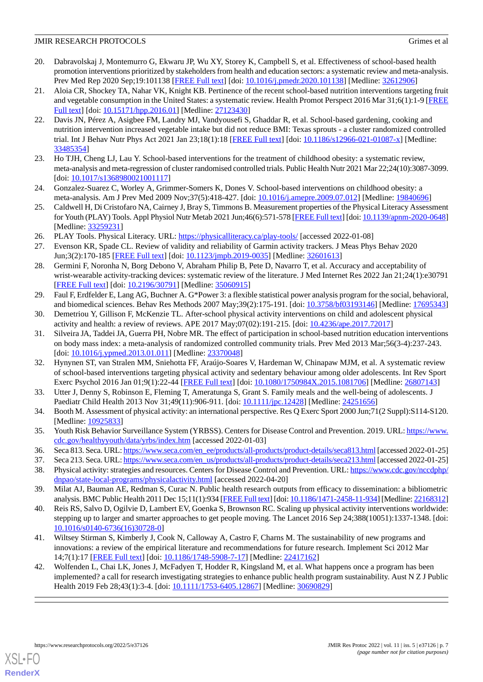- <span id="page-6-0"></span>20. Dabravolskaj J, Montemurro G, Ekwaru JP, Wu XY, Storey K, Campbell S, et al. Effectiveness of school-based health promotion interventions prioritized by stakeholders from health and education sectors: a systematic review and meta-analysis. Prev Med Rep 2020 Sep;19:101138 [\[FREE Full text\]](https://linkinghub.elsevier.com/retrieve/pii/S2211-3355(20)30098-X) [doi: [10.1016/j.pmedr.2020.101138\]](http://dx.doi.org/10.1016/j.pmedr.2020.101138) [Medline: [32612906](http://www.ncbi.nlm.nih.gov/entrez/query.fcgi?cmd=Retrieve&db=PubMed&list_uids=32612906&dopt=Abstract)]
- <span id="page-6-2"></span>21. Aloia CR, Shockey TA, Nahar VK, Knight KB. Pertinence of the recent school-based nutrition interventions targeting fruit and vegetable consumption in the United States: a systematic review. Health Promot Perspect 2016 Mar 31;6(1):1-9 [\[FREE](http://europepmc.org/abstract/MED/27123430) [Full text\]](http://europepmc.org/abstract/MED/27123430) [doi: [10.15171/hpp.2016.01\]](http://dx.doi.org/10.15171/hpp.2016.01) [Medline: [27123430](http://www.ncbi.nlm.nih.gov/entrez/query.fcgi?cmd=Retrieve&db=PubMed&list_uids=27123430&dopt=Abstract)]
- <span id="page-6-1"></span>22. Davis JN, Pérez A, Asigbee FM, Landry MJ, Vandyousefi S, Ghaddar R, et al. School-based gardening, cooking and nutrition intervention increased vegetable intake but did not reduce BMI: Texas sprouts - a cluster randomized controlled trial. Int J Behav Nutr Phys Act 2021 Jan 23;18(1):18 [\[FREE Full text\]](https://ijbnpa.biomedcentral.com/articles/10.1186/s12966-021-01087-x) [doi: [10.1186/s12966-021-01087-x](http://dx.doi.org/10.1186/s12966-021-01087-x)] [Medline: [33485354](http://www.ncbi.nlm.nih.gov/entrez/query.fcgi?cmd=Retrieve&db=PubMed&list_uids=33485354&dopt=Abstract)]
- <span id="page-6-4"></span><span id="page-6-3"></span>23. Ho TJH, Cheng LJ, Lau Y. School-based interventions for the treatment of childhood obesity: a systematic review, meta-analysis and meta-regression of cluster randomised controlled trials. Public Health Nutr 2021 Mar 22;24(10):3087-3099. [doi: [10.1017/s1368980021001117](http://dx.doi.org/10.1017/s1368980021001117)]
- <span id="page-6-5"></span>24. Gonzalez-Suarez C, Worley A, Grimmer-Somers K, Dones V. School-based interventions on childhood obesity: a meta-analysis. Am J Prev Med 2009 Nov;37(5):418-427. [doi: [10.1016/j.amepre.2009.07.012\]](http://dx.doi.org/10.1016/j.amepre.2009.07.012) [Medline: [19840696\]](http://www.ncbi.nlm.nih.gov/entrez/query.fcgi?cmd=Retrieve&db=PubMed&list_uids=19840696&dopt=Abstract)
- <span id="page-6-7"></span><span id="page-6-6"></span>25. Caldwell H, Di Cristofaro NA, Cairney J, Bray S, Timmons B. Measurement properties of the Physical Literacy Assessment for Youth (PLAY) Tools. Appl Physiol Nutr Metab 2021 Jun;46(6):571-578 [[FREE Full text\]](https://doi.org/10.1139/apnm-2020-0648) [doi: [10.1139/apnm-2020-0648\]](http://dx.doi.org/10.1139/apnm-2020-0648) [Medline: [33259231](http://www.ncbi.nlm.nih.gov/entrez/query.fcgi?cmd=Retrieve&db=PubMed&list_uids=33259231&dopt=Abstract)]
- <span id="page-6-8"></span>26. PLAY Tools. Physical Literacy. URL:<https://physicalliteracy.ca/play-tools/> [accessed 2022-01-08]
- 27. Evenson KR, Spade CL. Review of validity and reliability of Garmin activity trackers. J Meas Phys Behav 2020 Jun;3(2):170-185 [[FREE Full text](http://europepmc.org/abstract/MED/32601613)] [doi: [10.1123/jmpb.2019-0035\]](http://dx.doi.org/10.1123/jmpb.2019-0035) [Medline: [32601613](http://www.ncbi.nlm.nih.gov/entrez/query.fcgi?cmd=Retrieve&db=PubMed&list_uids=32601613&dopt=Abstract)]
- <span id="page-6-9"></span>28. Germini F, Noronha N, Borg Debono V, Abraham Philip B, Pete D, Navarro T, et al. Accuracy and acceptability of wrist-wearable activity-tracking devices: systematic review of the literature. J Med Internet Res 2022 Jan 21;24(1):e30791 [[FREE Full text](https://www.jmir.org/2022/1/e30791/)] [doi: [10.2196/30791\]](http://dx.doi.org/10.2196/30791) [Medline: [35060915\]](http://www.ncbi.nlm.nih.gov/entrez/query.fcgi?cmd=Retrieve&db=PubMed&list_uids=35060915&dopt=Abstract)
- <span id="page-6-11"></span><span id="page-6-10"></span>29. Faul F, Erdfelder E, Lang AG, Buchner A. G\*Power 3: a flexible statistical power analysis program for the social, behavioral, and biomedical sciences. Behav Res Methods 2007 May;39(2):175-191. [doi: [10.3758/bf03193146\]](http://dx.doi.org/10.3758/bf03193146) [Medline: [17695343](http://www.ncbi.nlm.nih.gov/entrez/query.fcgi?cmd=Retrieve&db=PubMed&list_uids=17695343&dopt=Abstract)]
- 30. Demetriou Y, Gillison F, McKenzie TL. After-school physical activity interventions on child and adolescent physical activity and health: a review of reviews. APE 2017 May;07(02):191-215. [doi: [10.4236/ape.2017.72017](http://dx.doi.org/10.4236/ape.2017.72017)]
- <span id="page-6-12"></span>31. Silveira JA, Taddei JA, Guerra PH, Nobre MR. The effect of participation in school-based nutrition education interventions on body mass index: a meta-analysis of randomized controlled community trials. Prev Med 2013 Mar;56(3-4):237-243. [doi: [10.1016/j.ypmed.2013.01.011](http://dx.doi.org/10.1016/j.ypmed.2013.01.011)] [Medline: [23370048\]](http://www.ncbi.nlm.nih.gov/entrez/query.fcgi?cmd=Retrieve&db=PubMed&list_uids=23370048&dopt=Abstract)
- <span id="page-6-14"></span><span id="page-6-13"></span>32. Hynynen ST, van Stralen MM, Sniehotta FF, Araújo-Soares V, Hardeman W, Chinapaw MJM, et al. A systematic review of school-based interventions targeting physical activity and sedentary behaviour among older adolescents. Int Rev Sport Exerc Psychol 2016 Jan 01;9(1):22-44 [\[FREE Full text](http://europepmc.org/abstract/MED/26807143)] [doi: [10.1080/1750984X.2015.1081706](http://dx.doi.org/10.1080/1750984X.2015.1081706)] [Medline: [26807143\]](http://www.ncbi.nlm.nih.gov/entrez/query.fcgi?cmd=Retrieve&db=PubMed&list_uids=26807143&dopt=Abstract)
- <span id="page-6-15"></span>33. Utter J, Denny S, Robinson E, Fleming T, Ameratunga S, Grant S. Family meals and the well-being of adolescents. J Paediatr Child Health 2013 Nov 31;49(11):906-911. [doi: [10.1111/jpc.12428](http://dx.doi.org/10.1111/jpc.12428)] [Medline: [24251656](http://www.ncbi.nlm.nih.gov/entrez/query.fcgi?cmd=Retrieve&db=PubMed&list_uids=24251656&dopt=Abstract)]
- <span id="page-6-17"></span><span id="page-6-16"></span>34. Booth M. Assessment of physical activity: an international perspective. Res Q Exerc Sport 2000 Jun;71(2 Suppl):S114-S120. [Medline: [10925833](http://www.ncbi.nlm.nih.gov/entrez/query.fcgi?cmd=Retrieve&db=PubMed&list_uids=10925833&dopt=Abstract)]
- <span id="page-6-18"></span>35. Youth Risk Behavior Surveillance System (YRBSS). Centers for Disease Control and Prevention. 2019. URL: [https://www.](https://www.cdc.gov/healthyyouth/data/yrbs/index.htm) [cdc.gov/healthyyouth/data/yrbs/index.htm](https://www.cdc.gov/healthyyouth/data/yrbs/index.htm) [accessed 2022-01-03]
- <span id="page-6-19"></span>36. Seca 813. Seca. URL: [https://www.seca.com/en\\_ee/products/all-products/product-details/seca813.html](https://www.seca.com/en_ee/products/all-products/product-details/seca813.html) [accessed 2022-01-25]
- 37. Seca 213. Seca. URL: [https://www.seca.com/en\\_us/products/all-products/product-details/seca213.html](https://www.seca.com/en_us/products/all-products/product-details/seca213.html) [accessed 2022-01-25]
- 38. Physical activity: strategies and resources. Centers for Disease Control and Prevention. URL: [https://www.cdc.gov/nccdphp/](https://www.cdc.gov/nccdphp/dnpao/state-local-programs/physicalactivity.html) [dnpao/state-local-programs/physicalactivity.html](https://www.cdc.gov/nccdphp/dnpao/state-local-programs/physicalactivity.html) [accessed 2022-04-20]
- 39. Milat AJ, Bauman AE, Redman S, Curac N. Public health research outputs from efficacy to dissemination: a bibliometric analysis. BMC Public Health 2011 Dec 15;11(1):934 [\[FREE Full text\]](https://bmcpublichealth.biomedcentral.com/articles/10.1186/1471-2458-11-934) [doi: [10.1186/1471-2458-11-934](http://dx.doi.org/10.1186/1471-2458-11-934)] [Medline: [22168312\]](http://www.ncbi.nlm.nih.gov/entrez/query.fcgi?cmd=Retrieve&db=PubMed&list_uids=22168312&dopt=Abstract)
- <span id="page-6-20"></span>40. Reis RS, Salvo D, Ogilvie D, Lambert EV, Goenka S, Brownson RC. Scaling up physical activity interventions worldwide: stepping up to larger and smarter approaches to get people moving. The Lancet 2016 Sep 24;388(10051):1337-1348. [doi: [10.1016/s0140-6736\(16\)30728-0](http://dx.doi.org/10.1016/s0140-6736(16)30728-0)]
- 41. Wiltsey Stirman S, Kimberly J, Cook N, Calloway A, Castro F, Charns M. The sustainability of new programs and innovations: a review of the empirical literature and recommendations for future research. Implement Sci 2012 Mar 14;7(1):17 [[FREE Full text\]](https://implementationscience.biomedcentral.com/articles/10.1186/1748-5908-7-17) [doi: [10.1186/1748-5908-7-17](http://dx.doi.org/10.1186/1748-5908-7-17)] [Medline: [22417162](http://www.ncbi.nlm.nih.gov/entrez/query.fcgi?cmd=Retrieve&db=PubMed&list_uids=22417162&dopt=Abstract)]
- 42. Wolfenden L, Chai LK, Jones J, McFadyen T, Hodder R, Kingsland M, et al. What happens once a program has been implemented? a call for research investigating strategies to enhance public health program sustainability. Aust N Z J Public Health 2019 Feb 28;43(1):3-4. [doi: [10.1111/1753-6405.12867\]](http://dx.doi.org/10.1111/1753-6405.12867) [Medline: [30690829](http://www.ncbi.nlm.nih.gov/entrez/query.fcgi?cmd=Retrieve&db=PubMed&list_uids=30690829&dopt=Abstract)]

[XSL](http://www.w3.org/Style/XSL)•FO **[RenderX](http://www.renderx.com/)**